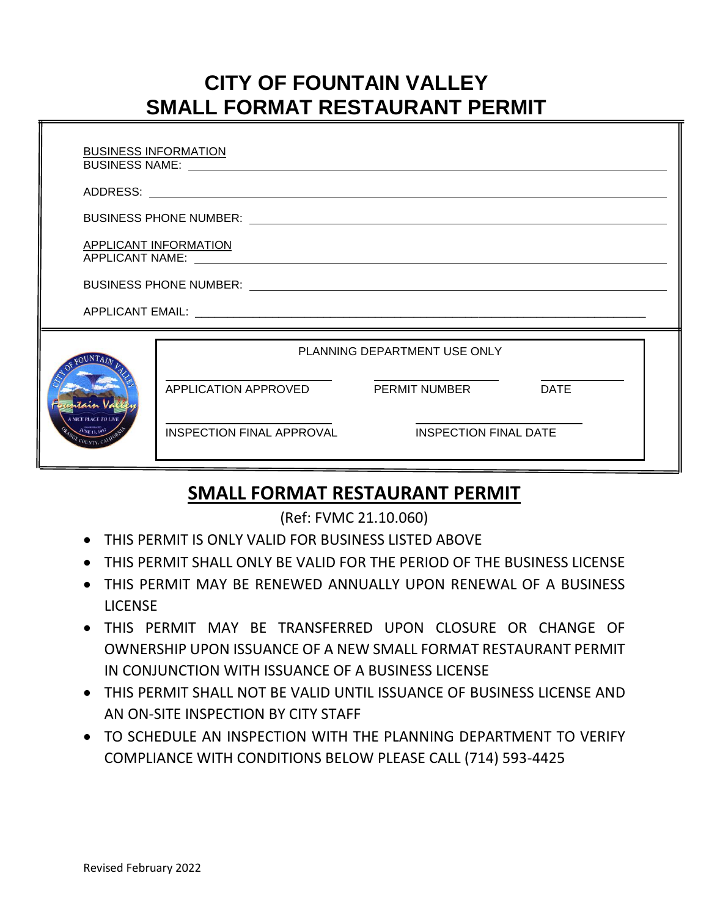# **CITY OF FOUNTAIN VALLEY SMALL FORMAT RESTAURANT PERMIT**

| <b>BUSINESS INFORMATION</b> |                                                    |  |
|-----------------------------|----------------------------------------------------|--|
|                             |                                                    |  |
|                             |                                                    |  |
|                             | APPLICANT INFORMATION                              |  |
|                             |                                                    |  |
|                             |                                                    |  |
|                             | PLANNING DEPARTMENT USE ONLY                       |  |
|                             | APPLICATION APPROVED PERMIT NUMBER<br><b>DATE</b>  |  |
|                             | INSPECTION FINAL APPROVAL<br>INSPECTION FINAL DATE |  |

## **SMALL FORMAT RESTAURANT PERMIT**

(Ref: FVMC 21.10.060)

- THIS PERMIT IS ONLY VALID FOR BUSINESS LISTED ABOVE
- THIS PERMIT SHALL ONLY BE VALID FOR THE PERIOD OF THE BUSINESS LICENSE
- THIS PERMIT MAY BE RENEWED ANNUALLY UPON RENEWAL OF A BUSINESS **LICENSE**
- THIS PERMIT MAY BE TRANSFERRED UPON CLOSURE OR CHANGE OF OWNERSHIP UPON ISSUANCE OF A NEW SMALL FORMAT RESTAURANT PERMIT IN CONJUNCTION WITH ISSUANCE OF A BUSINESS LICENSE
- THIS PERMIT SHALL NOT BE VALID UNTIL ISSUANCE OF BUSINESS LICENSE AND AN ON-SITE INSPECTION BY CITY STAFF
- TO SCHEDULE AN INSPECTION WITH THE PLANNING DEPARTMENT TO VERIFY COMPLIANCE WITH CONDITIONS BELOW PLEASE CALL (714) 593-4425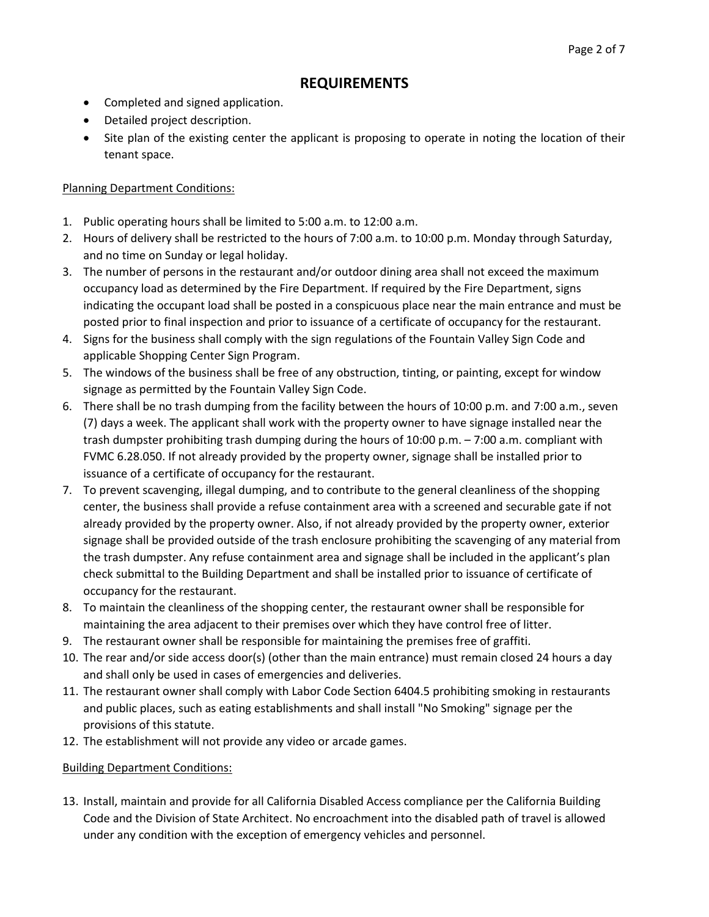### **REQUIREMENTS**

- Completed and signed application.
- Detailed project description.
- Site plan of the existing center the applicant is proposing to operate in noting the location of their tenant space.

#### Planning Department Conditions:

- 1. Public operating hours shall be limited to 5:00 a.m. to 12:00 a.m.
- 2. Hours of delivery shall be restricted to the hours of 7:00 a.m. to 10:00 p.m. Monday through Saturday, and no time on Sunday or legal holiday.
- 3. The number of persons in the restaurant and/or outdoor dining area shall not exceed the maximum occupancy load as determined by the Fire Department. If required by the Fire Department, signs indicating the occupant load shall be posted in a conspicuous place near the main entrance and must be posted prior to final inspection and prior to issuance of a certificate of occupancy for the restaurant.
- 4. Signs for the business shall comply with the sign regulations of the Fountain Valley Sign Code and applicable Shopping Center Sign Program.
- 5. The windows of the business shall be free of any obstruction, tinting, or painting, except for window signage as permitted by the Fountain Valley Sign Code.
- 6. There shall be no trash dumping from the facility between the hours of 10:00 p.m. and 7:00 a.m., seven (7) days a week. The applicant shall work with the property owner to have signage installed near the trash dumpster prohibiting trash dumping during the hours of 10:00 p.m. – 7:00 a.m. compliant with FVMC 6.28.050. If not already provided by the property owner, signage shall be installed prior to issuance of a certificate of occupancy for the restaurant.
- 7. To prevent scavenging, illegal dumping, and to contribute to the general cleanliness of the shopping center, the business shall provide a refuse containment area with a screened and securable gate if not already provided by the property owner. Also, if not already provided by the property owner, exterior signage shall be provided outside of the trash enclosure prohibiting the scavenging of any material from the trash dumpster. Any refuse containment area and signage shall be included in the applicant's plan check submittal to the Building Department and shall be installed prior to issuance of certificate of occupancy for the restaurant.
- 8. To maintain the cleanliness of the shopping center, the restaurant owner shall be responsible for maintaining the area adjacent to their premises over which they have control free of litter.
- 9. The restaurant owner shall be responsible for maintaining the premises free of graffiti.
- 10. The rear and/or side access door(s) (other than the main entrance) must remain closed 24 hours a day and shall only be used in cases of emergencies and deliveries.
- 11. The restaurant owner shall comply with Labor Code Section 6404.5 prohibiting smoking in restaurants and public places, such as eating establishments and shall install "No Smoking" signage per the provisions of this statute.
- 12. The establishment will not provide any video or arcade games.

#### Building Department Conditions:

13. Install, maintain and provide for all California Disabled Access compliance per the California Building Code and the Division of State Architect. No encroachment into the disabled path of travel is allowed under any condition with the exception of emergency vehicles and personnel.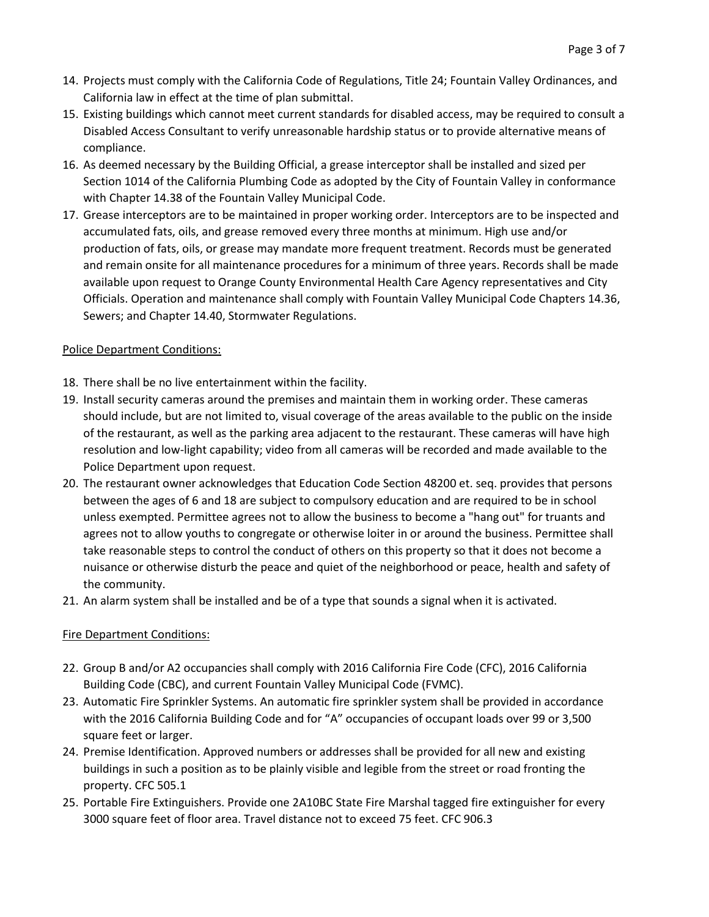- 14. Projects must comply with the California Code of Regulations, Title 24; Fountain Valley Ordinances, and California law in effect at the time of plan submittal.
- 15. Existing buildings which cannot meet current standards for disabled access, may be required to consult a Disabled Access Consultant to verify unreasonable hardship status or to provide alternative means of compliance.
- 16. As deemed necessary by the Building Official, a grease interceptor shall be installed and sized per Section 1014 of the California Plumbing Code as adopted by the City of Fountain Valley in conformance with Chapter 14.38 of the Fountain Valley Municipal Code.
- 17. Grease interceptors are to be maintained in proper working order. Interceptors are to be inspected and accumulated fats, oils, and grease removed every three months at minimum. High use and/or production of fats, oils, or grease may mandate more frequent treatment. Records must be generated and remain onsite for all maintenance procedures for a minimum of three years. Records shall be made available upon request to Orange County Environmental Health Care Agency representatives and City Officials. Operation and maintenance shall comply with Fountain Valley Municipal Code Chapters 14.36, Sewers; and Chapter 14.40, Stormwater Regulations.

#### Police Department Conditions:

- 18. There shall be no live entertainment within the facility.
- 19. Install security cameras around the premises and maintain them in working order. These cameras should include, but are not limited to, visual coverage of the areas available to the public on the inside of the restaurant, as well as the parking area adjacent to the restaurant. These cameras will have high resolution and low-light capability; video from all cameras will be recorded and made available to the Police Department upon request.
- 20. The restaurant owner acknowledges that Education Code Section 48200 et. seq. provides that persons between the ages of 6 and 18 are subject to compulsory education and are required to be in school unless exempted. Permittee agrees not to allow the business to become a "hang out" for truants and agrees not to allow youths to congregate or otherwise loiter in or around the business. Permittee shall take reasonable steps to control the conduct of others on this property so that it does not become a nuisance or otherwise disturb the peace and quiet of the neighborhood or peace, health and safety of the community.
- 21. An alarm system shall be installed and be of a type that sounds a signal when it is activated.

### Fire Department Conditions:

- 22. Group B and/or A2 occupancies shall comply with 2016 California Fire Code (CFC), 2016 California Building Code (CBC), and current Fountain Valley Municipal Code (FVMC).
- 23. Automatic Fire Sprinkler Systems. An automatic fire sprinkler system shall be provided in accordance with the 2016 California Building Code and for "A" occupancies of occupant loads over 99 or 3,500 square feet or larger.
- 24. Premise Identification. Approved numbers or addresses shall be provided for all new and existing buildings in such a position as to be plainly visible and legible from the street or road fronting the property. CFC 505.1
- 25. Portable Fire Extinguishers. Provide one 2A10BC State Fire Marshal tagged fire extinguisher for every 3000 square feet of floor area. Travel distance not to exceed 75 feet. CFC 906.3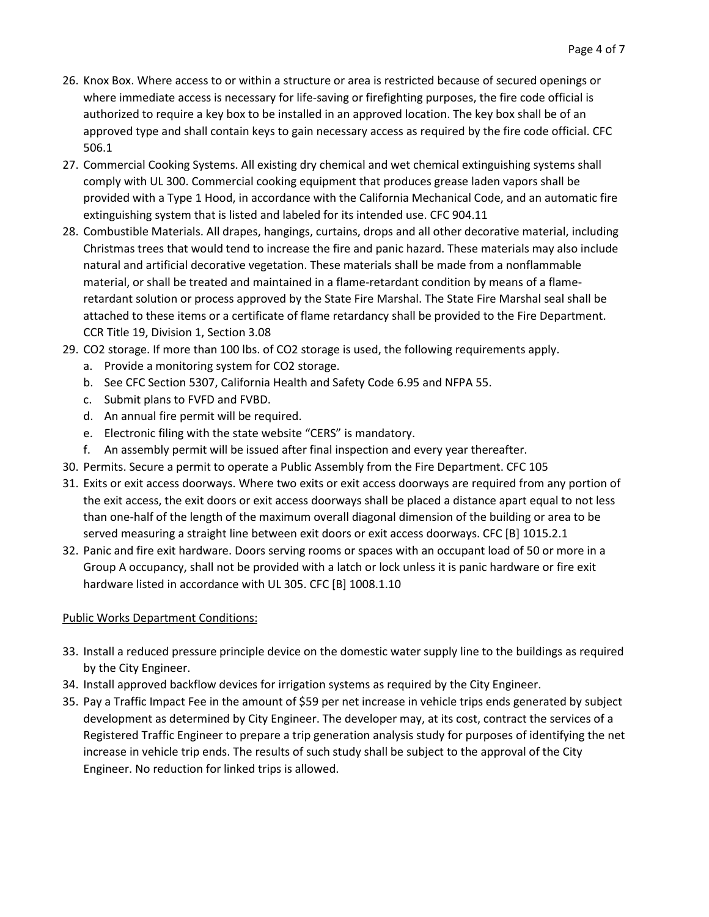- 26. Knox Box. Where access to or within a structure or area is restricted because of secured openings or where immediate access is necessary for life-saving or firefighting purposes, the fire code official is authorized to require a key box to be installed in an approved location. The key box shall be of an approved type and shall contain keys to gain necessary access as required by the fire code official. CFC 506.1
- 27. Commercial Cooking Systems. All existing dry chemical and wet chemical extinguishing systems shall comply with UL 300. Commercial cooking equipment that produces grease laden vapors shall be provided with a Type 1 Hood, in accordance with the California Mechanical Code, and an automatic fire extinguishing system that is listed and labeled for its intended use. CFC 904.11
- 28. Combustible Materials. All drapes, hangings, curtains, drops and all other decorative material, including Christmas trees that would tend to increase the fire and panic hazard. These materials may also include natural and artificial decorative vegetation. These materials shall be made from a nonflammable material, or shall be treated and maintained in a flame-retardant condition by means of a flameretardant solution or process approved by the State Fire Marshal. The State Fire Marshal seal shall be attached to these items or a certificate of flame retardancy shall be provided to the Fire Department. CCR Title 19, Division 1, Section 3.08
- 29. CO2 storage. If more than 100 lbs. of CO2 storage is used, the following requirements apply.
	- a. Provide a monitoring system for CO2 storage.
	- b. See CFC Section 5307, California Health and Safety Code 6.95 and NFPA 55.
	- c. Submit plans to FVFD and FVBD.
	- d. An annual fire permit will be required.
	- e. Electronic filing with the state website "CERS" is mandatory.
	- f. An assembly permit will be issued after final inspection and every year thereafter.
- 30. Permits. Secure a permit to operate a Public Assembly from the Fire Department. CFC 105
- 31. Exits or exit access doorways. Where two exits or exit access doorways are required from any portion of the exit access, the exit doors or exit access doorways shall be placed a distance apart equal to not less than one-half of the length of the maximum overall diagonal dimension of the building or area to be served measuring a straight line between exit doors or exit access doorways. CFC [B] 1015.2.1
- 32. Panic and fire exit hardware. Doors serving rooms or spaces with an occupant load of 50 or more in a Group A occupancy, shall not be provided with a latch or lock unless it is panic hardware or fire exit hardware listed in accordance with UL 305. CFC [B] 1008.1.10

#### Public Works Department Conditions:

- 33. Install a reduced pressure principle device on the domestic water supply line to the buildings as required by the City Engineer.
- 34. Install approved backflow devices for irrigation systems as required by the City Engineer.
- 35. Pay a Traffic Impact Fee in the amount of \$59 per net increase in vehicle trips ends generated by subject development as determined by City Engineer. The developer may, at its cost, contract the services of a Registered Traffic Engineer to prepare a trip generation analysis study for purposes of identifying the net increase in vehicle trip ends. The results of such study shall be subject to the approval of the City Engineer. No reduction for linked trips is allowed.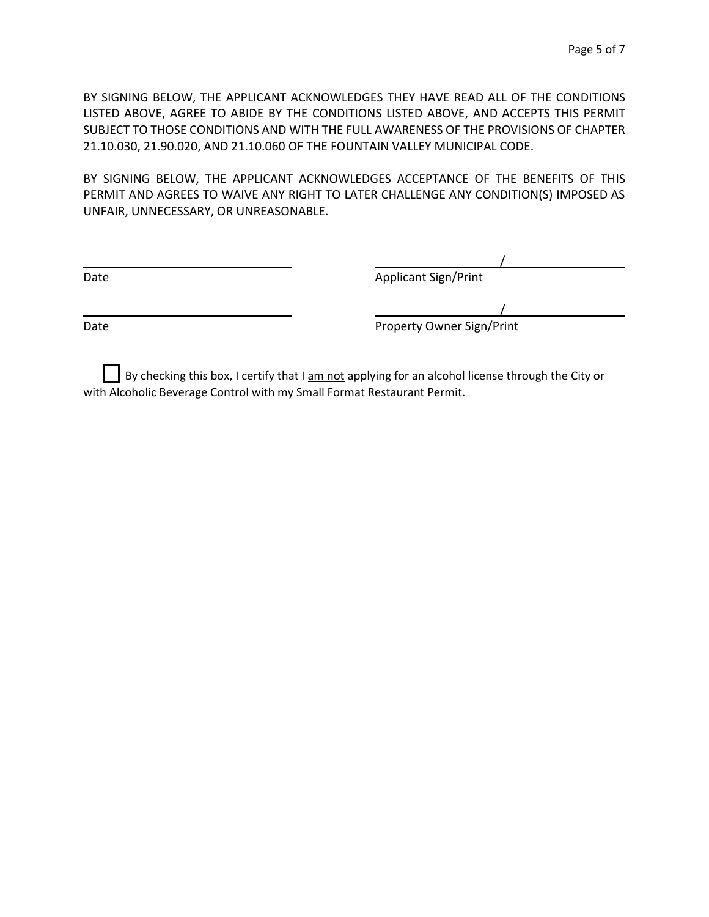BY SIGNING BELOW, THE APPLICANT ACKNOWLEDGES THEY HAVE READ ALL OF THE CONDITIONS LISTED ABOVE, AGREE TO ABIDE BY THE CONDITIONS LISTED ABOVE, AND ACCEPTS THIS PERMIT SUBJECT TO THOSE CONDITIONS AND WITH THE FULL AWARENESS OF THE PROVISIONS OF CHAPTER 21.10.030, 21.90.020, AND 21.10.060 OF THE FOUNTAIN VALLEY MUNICIPAL CODE.

BY SIGNING BELOW, THE APPLICANT ACKNOWLEDGES ACCEPTANCE OF THE BENEFITS OF THIS PERMIT AND AGREES TO WAIVE ANY RIGHT TO LATER CHALLENGE ANY CONDITION(S) IMPOSED AS UNFAIR, UNNECESSARY, OR UNREASONABLE.

Date **Date** Applicant Sign/Print

/ Date **Date** Property Owner Sign/Print

/

By checking this box, I certify that I am not applying for an alcohol license through the City or with Alcoholic Beverage Control with my Small Format Restaurant Permit.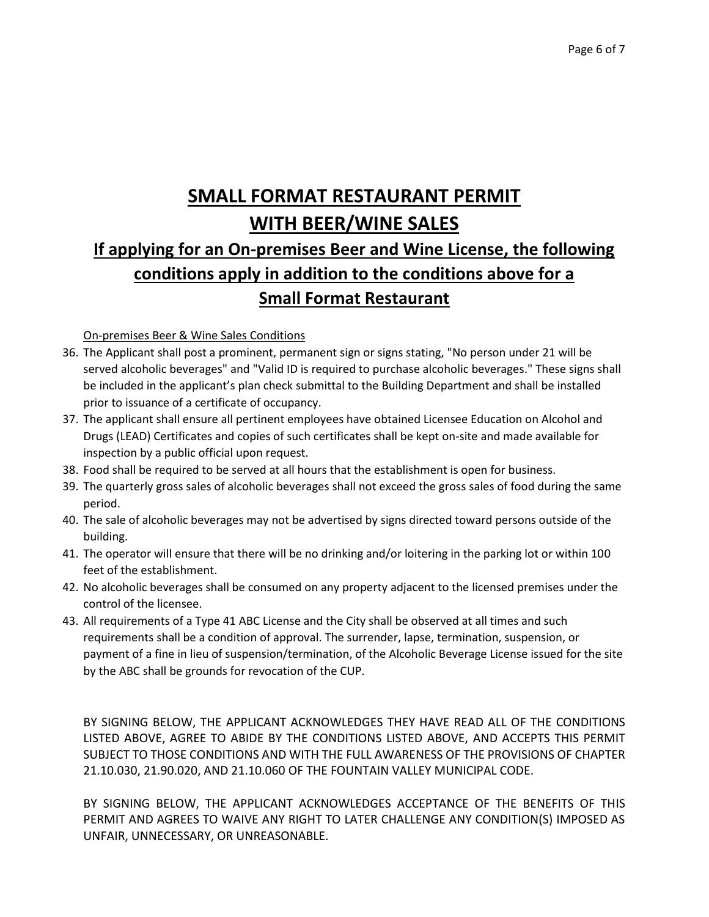# **SMALL FORMAT RESTAURANT PERMIT WITH BEER/WINE SALES If applying for an On-premises Beer and Wine License, the following conditions apply in addition to the conditions above for a Small Format Restaurant**

On-premises Beer & Wine Sales Conditions

- 36. The Applicant shall post a prominent, permanent sign or signs stating, "No person under 21 will be served alcoholic beverages" and "Valid ID is required to purchase alcoholic beverages." These signs shall be included in the applicant's plan check submittal to the Building Department and shall be installed prior to issuance of a certificate of occupancy.
- 37. The applicant shall ensure all pertinent employees have obtained Licensee Education on Alcohol and Drugs (LEAD) Certificates and copies of such certificates shall be kept on-site and made available for inspection by a public official upon request.
- 38. Food shall be required to be served at all hours that the establishment is open for business.
- 39. The quarterly gross sales of alcoholic beverages shall not exceed the gross sales of food during the same period.
- 40. The sale of alcoholic beverages may not be advertised by signs directed toward persons outside of the building.
- 41. The operator will ensure that there will be no drinking and/or loitering in the parking lot or within 100 feet of the establishment.
- 42. No alcoholic beverages shall be consumed on any property adjacent to the licensed premises under the control of the licensee.
- 43. All requirements of a Type 41 ABC License and the City shall be observed at all times and such requirements shall be a condition of approval. The surrender, lapse, termination, suspension, or payment of a fine in lieu of suspension/termination, of the Alcoholic Beverage License issued for the site by the ABC shall be grounds for revocation of the CUP.

BY SIGNING BELOW, THE APPLICANT ACKNOWLEDGES THEY HAVE READ ALL OF THE CONDITIONS LISTED ABOVE, AGREE TO ABIDE BY THE CONDITIONS LISTED ABOVE, AND ACCEPTS THIS PERMIT SUBJECT TO THOSE CONDITIONS AND WITH THE FULL AWARENESS OF THE PROVISIONS OF CHAPTER 21.10.030, 21.90.020, AND 21.10.060 OF THE FOUNTAIN VALLEY MUNICIPAL CODE.

BY SIGNING BELOW, THE APPLICANT ACKNOWLEDGES ACCEPTANCE OF THE BENEFITS OF THIS PERMIT AND AGREES TO WAIVE ANY RIGHT TO LATER CHALLENGE ANY CONDITION(S) IMPOSED AS UNFAIR, UNNECESSARY, OR UNREASONABLE.